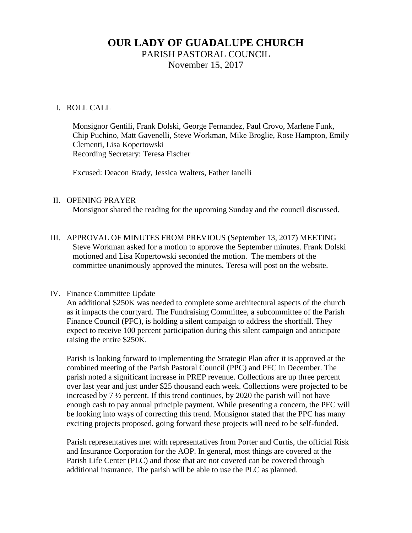# **OUR LADY OF GUADALUPE CHURCH** PARISH PASTORAL COUNCIL

November 15, 2017

# I. ROLL CALL

Monsignor Gentili, Frank Dolski, George Fernandez, Paul Crovo, Marlene Funk, Chip Puchino, Matt Gavenelli, Steve Workman, Mike Broglie, Rose Hampton, Emily Clementi, Lisa Kopertowski Recording Secretary: Teresa Fischer

Excused: Deacon Brady, Jessica Walters, Father Ianelli

# II. OPENING PRAYER

Monsignor shared the reading for the upcoming Sunday and the council discussed.

III. APPROVAL OF MINUTES FROM PREVIOUS (September 13, 2017) MEETING Steve Workman asked for a motion to approve the September minutes. Frank Dolski motioned and Lisa Kopertowski seconded the motion. The members of the committee unanimously approved the minutes. Teresa will post on the website.

# IV. Finance Committee Update

An additional \$250K was needed to complete some architectural aspects of the church as it impacts the courtyard. The Fundraising Committee, a subcommittee of the Parish Finance Council (PFC), is holding a silent campaign to address the shortfall. They expect to receive 100 percent participation during this silent campaign and anticipate raising the entire \$250K.

Parish is looking forward to implementing the Strategic Plan after it is approved at the combined meeting of the Parish Pastoral Council (PPC) and PFC in December. The parish noted a significant increase in PREP revenue. Collections are up three percent over last year and just under \$25 thousand each week. Collections were projected to be increased by 7 ½ percent. If this trend continues, by 2020 the parish will not have enough cash to pay annual principle payment. While presenting a concern, the PFC will be looking into ways of correcting this trend. Monsignor stated that the PPC has many exciting projects proposed, going forward these projects will need to be self-funded.

Parish representatives met with representatives from Porter and Curtis, the official Risk and Insurance Corporation for the AOP. In general, most things are covered at the Parish Life Center (PLC) and those that are not covered can be covered through additional insurance. The parish will be able to use the PLC as planned.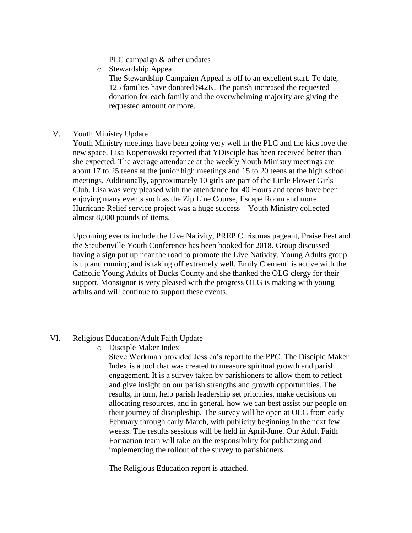- PLC campaign & other updates
- o Stewardship Appeal

The Stewardship Campaign Appeal is off to an excellent start. To date, 125 families have donated \$42K. The parish increased the requested donation for each family and the overwhelming majority are giving the requested amount or more.

V. Youth Ministry Update

Youth Ministry meetings have been going very well in the PLC and the kids love the new space. Lisa Kopertowski reported that YDisciple has been received better than she expected. The average attendance at the weekly Youth Ministry meetings are about 17 to 25 teens at the junior high meetings and 15 to 20 teens at the high school meetings. Additionally, approximately 10 girls are part of the Little Flower Girls Club. Lisa was very pleased with the attendance for 40 Hours and teens have been enjoying many events such as the Zip Line Course, Escape Room and more. Hurricane Relief service project was a huge success – Youth Ministry collected almost 8,000 pounds of items.

Upcoming events include the Live Nativity, PREP Christmas pageant, Praise Fest and the Steubenville Youth Conference has been booked for 2018. Group discussed having a sign put up near the road to promote the Live Nativity. Young Adults group is up and running and is taking off extremely well. Emily Clementi is active with the Catholic Young Adults of Bucks County and she thanked the OLG clergy for their support. Monsignor is very pleased with the progress OLG is making with young adults and will continue to support these events.

# VI. Religious Education/Adult Faith Update

o Disciple Maker Index

Steve Workman provided Jessica's report to the PPC. The Disciple Maker Index is a tool that was created to measure spiritual growth and parish engagement. It is a survey taken by parishioners to allow them to reflect and give insight on our parish strengths and growth opportunities. The results, in turn, help parish leadership set priorities, make decisions on allocating resources, and in general, how we can best assist our people on their journey of discipleship. The survey will be open at OLG from early February through early March, with publicity beginning in the next few weeks. The results sessions will be held in April-June. Our Adult Faith Formation team will take on the responsibility for publicizing and implementing the rollout of the survey to parishioners.

The Religious Education report is attached.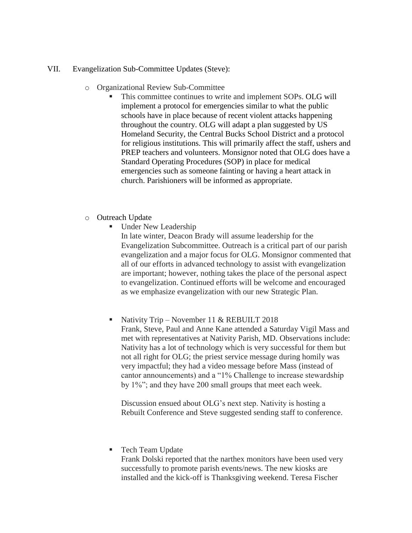#### VII. Evangelization Sub-Committee Updates (Steve):

- o Organizational Review Sub-Committee
	- This committee continues to write and implement SOPs. OLG will implement a protocol for emergencies similar to what the public schools have in place because of recent violent attacks happening throughout the country. OLG will adapt a plan suggested by US Homeland Security, the Central Bucks School District and a protocol for religious institutions. This will primarily affect the staff, ushers and PREP teachers and volunteers. Monsignor noted that OLG does have a Standard Operating Procedures (SOP) in place for medical emergencies such as someone fainting or having a heart attack in church. Parishioners will be informed as appropriate.
- o Outreach Update
	- Under New Leadership

In late winter, Deacon Brady will assume leadership for the Evangelization Subcommittee. Outreach is a critical part of our parish evangelization and a major focus for OLG. Monsignor commented that all of our efforts in advanced technology to assist with evangelization are important; however, nothing takes the place of the personal aspect to evangelization. Continued efforts will be welcome and encouraged as we emphasize evangelization with our new Strategic Plan.

 Nativity Trip – November 11 & REBUILT 2018 Frank, Steve, Paul and Anne Kane attended a Saturday Vigil Mass and met with representatives at Nativity Parish, MD. Observations include: Nativity has a lot of technology which is very successful for them but not all right for OLG; the priest service message during homily was very impactful; they had a video message before Mass (instead of cantor announcements) and a "1% Challenge to increase stewardship by 1%"; and they have 200 small groups that meet each week.

Discussion ensued about OLG's next step. Nativity is hosting a Rebuilt Conference and Steve suggested sending staff to conference.

#### **Tech Team Update**

Frank Dolski reported that the narthex monitors have been used very successfully to promote parish events/news. The new kiosks are installed and the kick-off is Thanksgiving weekend. Teresa Fischer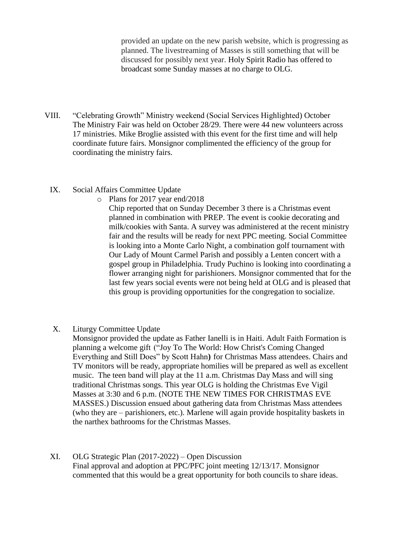provided an update on the new parish website, which is progressing as planned. The livestreaming of Masses is still something that will be discussed for possibly next year. Holy Spirit Radio has offered to broadcast some Sunday masses at no charge to OLG.

- VIII. "Celebrating Growth" Ministry weekend (Social Services Highlighted) October The Ministry Fair was held on October 28/29. There were 44 new volunteers across 17 ministries. Mike Broglie assisted with this event for the first time and will help coordinate future fairs. Monsignor complimented the efficiency of the group for coordinating the ministry fairs.
	- IX. Social Affairs Committee Update
		- o Plans for 2017 year end/2018

Chip reported that on Sunday December 3 there is a Christmas event planned in combination with PREP. The event is cookie decorating and milk/cookies with Santa. A survey was administered at the recent ministry fair and the results will be ready for next PPC meeting. Social Committee is looking into a Monte Carlo Night, a combination golf tournament with Our Lady of Mount Carmel Parish and possibly a Lenten concert with a gospel group in Philadelphia. Trudy Puchino is looking into coordinating a flower arranging night for parishioners. Monsignor commented that for the last few years social events were not being held at OLG and is pleased that this group is providing opportunities for the congregation to socialize.

X. Liturgy Committee Update

Monsignor provided the update as Father Ianelli is in Haiti. Adult Faith Formation is planning a welcome gift ("Joy To The World: How Christ's Coming Changed Everything and Still Does" by Scott Hahn**)** for Christmas Mass attendees. Chairs and TV monitors will be ready, appropriate homilies will be prepared as well as excellent music. The teen band will play at the 11 a.m. Christmas Day Mass and will sing traditional Christmas songs. This year OLG is holding the Christmas Eve Vigil Masses at 3:30 and 6 p.m. (NOTE THE NEW TIMES FOR CHRISTMAS EVE MASSES.) Discussion ensued about gathering data from Christmas Mass attendees (who they are – parishioners, etc.). Marlene will again provide hospitality baskets in the narthex bathrooms for the Christmas Masses.

XI. OLG Strategic Plan (2017-2022) – Open Discussion Final approval and adoption at PPC/PFC joint meeting 12/13/17. Monsignor commented that this would be a great opportunity for both councils to share ideas.